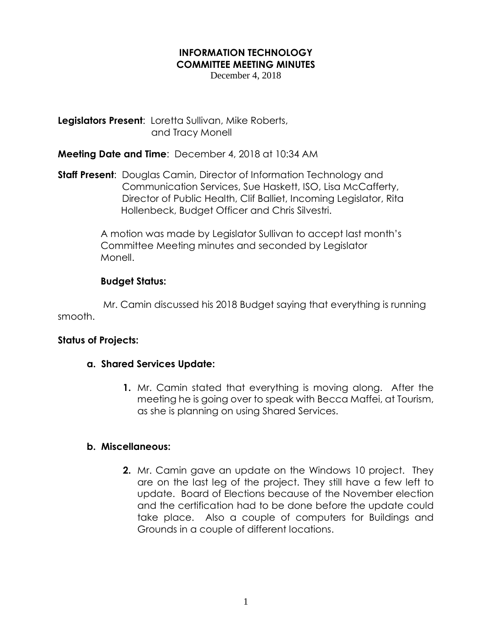### **INFORMATION TECHNOLOGY COMMITTEE MEETING MINUTES**

December 4, 2018

**Legislators Present**: Loretta Sullivan, Mike Roberts, and Tracy Monell

**Meeting Date and Time**: December 4, 2018 at 10:34 AM

**Staff Present**: Douglas Camin, Director of Information Technology and Communication Services, Sue Haskett, ISO, Lisa McCafferty, Director of Public Health, Clif Balliet, Incoming Legislator, Rita Hollenbeck, Budget Officer and Chris Silvestri.

> A motion was made by Legislator Sullivan to accept last month's Committee Meeting minutes and seconded by Legislator Monell.

# **Budget Status:**

 Mr. Camin discussed his 2018 Budget saying that everything is running smooth.

## **Status of Projects:**

## **a. Shared Services Update:**

**1.** Mr. Camin stated that everything is moving along. After the meeting he is going over to speak with Becca Maffei, at Tourism, as she is planning on using Shared Services.

## **b. Miscellaneous:**

**2.** Mr. Camin gave an update on the Windows 10 project. They are on the last leg of the project. They still have a few left to update. Board of Elections because of the November election and the certification had to be done before the update could take place. Also a couple of computers for Buildings and Grounds in a couple of different locations.